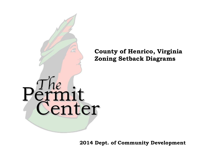

# **County of Henrico, VirginiaZoning Setback Diagrams**

**2014 Dept. of Community Development**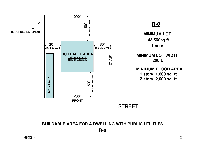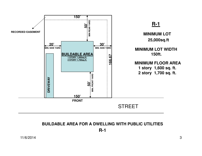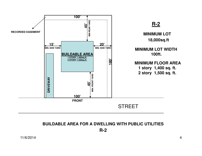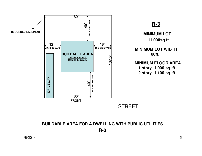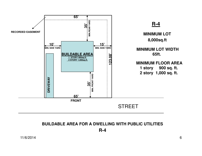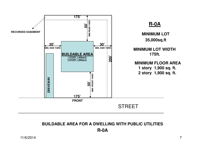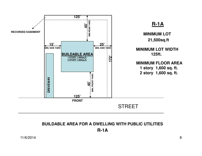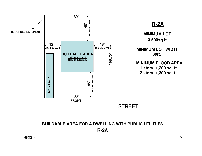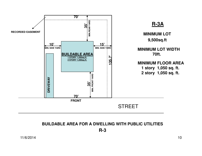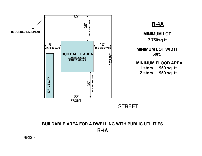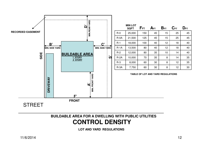

# **BUILDABLE AREA FOR A DWELLING WITH PUBLIC UTILITIESCONTROL DENSITY**

**LOT AND YARD REGULATIONS**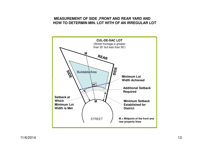#### **MEASUREMENT OF SIDE ,FRONT AND REAR YARD AND HOW TO DETERMIN MIN. LOT WITH OF AN IRREGULAR LOT**

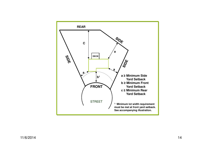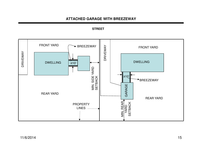**ATTACHED GARAGE WITH BREEZEWAY** 

**STREET**